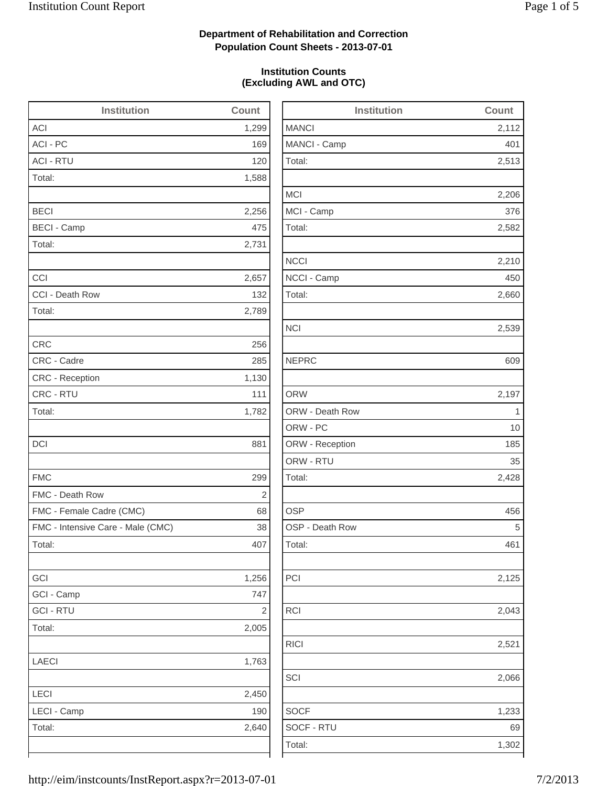2,112

2,513

2,206

2,582

2,210

2,660

2,539

2,428

2,125

2,043

2,066

1,233

1,302

### **Department of Rehabilitation and Correction Population Count Sheets - 2013-07-01**

### **Institution Counts (Excluding AWL and OTC)**

| <b>Institution</b>                | Count      | <b>Institution</b> | Count       |
|-----------------------------------|------------|--------------------|-------------|
| <b>ACI</b>                        | 1,299      | <b>MANCI</b>       | 2,112       |
| ACI - PC                          | 169        | MANCI - Camp       | 401         |
| <b>ACI - RTU</b>                  | 120        | Total:             | 2,513       |
| Total:                            | 1,588      |                    |             |
|                                   |            | <b>MCI</b>         | 2,206       |
| <b>BECI</b>                       | 2,256      | MCI - Camp         | 376         |
| <b>BECI - Camp</b>                | 475        | Total:             | 2,582       |
| Total:                            | 2,731      |                    |             |
|                                   |            | <b>NCCI</b>        | 2,210       |
| CCI                               | 2,657      | NCCI - Camp        | 450         |
| CCI - Death Row                   | 132        | Total:             | 2,660       |
| Total:                            | 2,789      |                    |             |
|                                   |            | <b>NCI</b>         | 2,539       |
| <b>CRC</b>                        | 256        |                    |             |
| CRC - Cadre                       | 285        | <b>NEPRC</b>       | 609         |
| CRC - Reception                   | 1,130      |                    |             |
| CRC - RTU                         | 111        | <b>ORW</b>         | 2,197       |
| Total:                            | 1,782      | ORW - Death Row    | $\mathbf 1$ |
|                                   |            | ORW - PC           | 10          |
| <b>DCI</b>                        | 881        | ORW - Reception    | 185         |
|                                   |            | ORW - RTU          | 35          |
| <b>FMC</b>                        | 299        | Total:             | 2,428       |
| FMC - Death Row                   | $\sqrt{2}$ |                    |             |
| FMC - Female Cadre (CMC)          | 68         | <b>OSP</b>         | 456         |
| FMC - Intensive Care - Male (CMC) | 38         | OSP - Death Row    | 5           |
| Total:                            | 407        | Total:             | 461         |
| GCI                               | 1,256      | PCI                | 2,125       |
| GCI - Camp                        | 747        |                    |             |
| <b>GCI - RTU</b>                  | $\sqrt{2}$ | RCI                | 2,043       |
| Total:                            | 2,005      |                    |             |
|                                   |            | <b>RICI</b>        | 2,521       |
| LAECI                             | 1,763      |                    |             |
|                                   |            | SCI                | 2,066       |
| LECI                              | 2,450      |                    |             |
| LECI - Camp                       | 190        | <b>SOCF</b>        | 1,233       |
| Total:                            | 2,640      | SOCF - RTU         | 69          |
|                                   |            | Total:             | 1,302       |
|                                   |            |                    |             |

| http://eim/instcounts/InstReport.aspx?r=2013-07-01 | 7/2/2013 |
|----------------------------------------------------|----------|
|                                                    |          |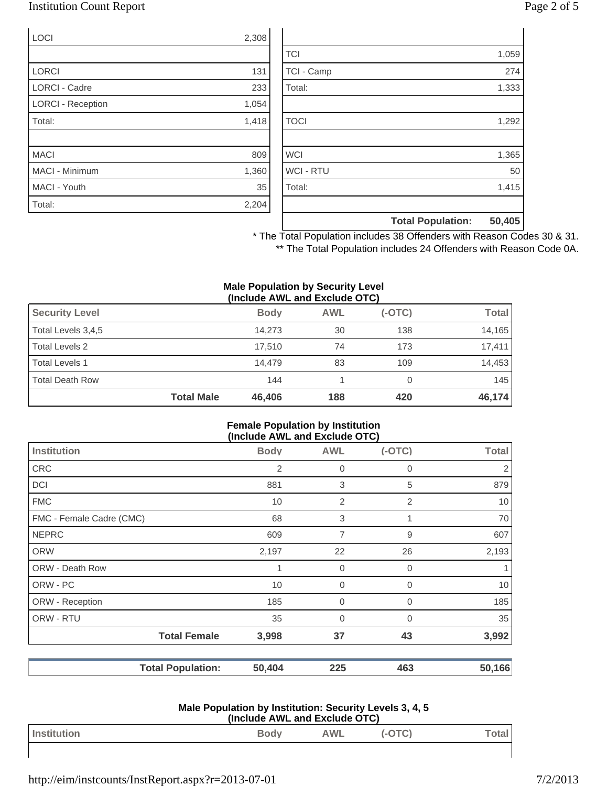### Institution Count Report Page 2 of 5

| <b>LOCI</b>              | 2,308 |
|--------------------------|-------|
|                          |       |
| <b>LORCI</b>             | 131   |
| <b>LORCI - Cadre</b>     | 233   |
| <b>LORCI - Reception</b> | 1,054 |
| Total:                   | 1,418 |
|                          |       |
| <b>MACI</b>              | 809   |
| <b>MACI - Minimum</b>    | 1,360 |
| MACI - Youth             | 35    |
| Total:                   | 2,204 |

|                  | <b>Total Population:</b> | 50,405 |
|------------------|--------------------------|--------|
|                  |                          |        |
| Total:           |                          | 1,415  |
| <b>WCI - RTU</b> |                          | 50     |
| <b>WCI</b>       |                          | 1,365  |
|                  |                          |        |
| <b>TOCI</b>      |                          | 1,292  |
|                  |                          |        |
| Total:           |                          | 1,333  |
| TCI - Camp       |                          | 274    |
| <b>TCI</b>       |                          | 1,059  |

\* The Total Population includes 38 Offenders with Reason Codes 30 & 31. \*\* The Total Population includes 24 Offenders with Reason Code 0A.

#### **Male Population by Security Level (Include AWL and Exclude OTC)**

| <b>Total Death Row</b> | <b>Total Male</b> | 144<br>46,406 | 188        | 420      | 145<br>46,174 |
|------------------------|-------------------|---------------|------------|----------|---------------|
| <b>Total Levels 1</b>  |                   | 14.479        | 83         | 109      | 14.453        |
| Total Levels 2         |                   | 17.510        | 74         | 173      | 17,411        |
| Total Levels 3,4,5     |                   | 14.273        | 30         | 138      | 14,165        |
| <b>Security Level</b>  |                   | <b>Body</b>   | <b>AWL</b> | $(-OTC)$ | <b>Total</b>  |

### **Female Population by Institution (Include AWL and Exclude OTC)**

|                          |                          |             |                | $ -$        |              |
|--------------------------|--------------------------|-------------|----------------|-------------|--------------|
| <b>Institution</b>       |                          | <b>Body</b> | <b>AWL</b>     | $(-OTC)$    | <b>Total</b> |
| CRC                      |                          | 2           | 0              | $\mathbf 0$ | 2            |
| DCI                      |                          | 881         | 3              | 5           | 879          |
| <b>FMC</b>               |                          | 10          | $\overline{2}$ | 2           | 10           |
| FMC - Female Cadre (CMC) |                          | 68          | 3              | 1           | 70           |
| <b>NEPRC</b>             |                          | 609         | 7              | 9           | 607          |
| <b>ORW</b>               |                          | 2,197       | 22             | 26          | 2,193        |
| <b>ORW - Death Row</b>   |                          | 1           | $\mathbf 0$    | 0           |              |
| ORW - PC                 |                          | 10          | $\mathbf 0$    | 0           | 10           |
| ORW - Reception          |                          | 185         | $\mathbf 0$    | $\mathbf 0$ | 185          |
| ORW - RTU                |                          | 35          | $\overline{0}$ | $\mathbf 0$ | 35           |
|                          | <b>Total Female</b>      | 3,998       | 37             | 43          | 3,992        |
|                          | <b>Total Population:</b> | 50,404      | 225            | 463         | 50,166       |

#### **Male Population by Institution: Security Levels 3, 4, 5 (Include AWL and Exclude OTC)**

|             |             | $(1119199971111 = 0.1191219191999)$ |  |     |
|-------------|-------------|-------------------------------------|--|-----|
| Institution | <b>Body</b> | <b>AWL</b>                          |  | rla |
|             |             |                                     |  |     |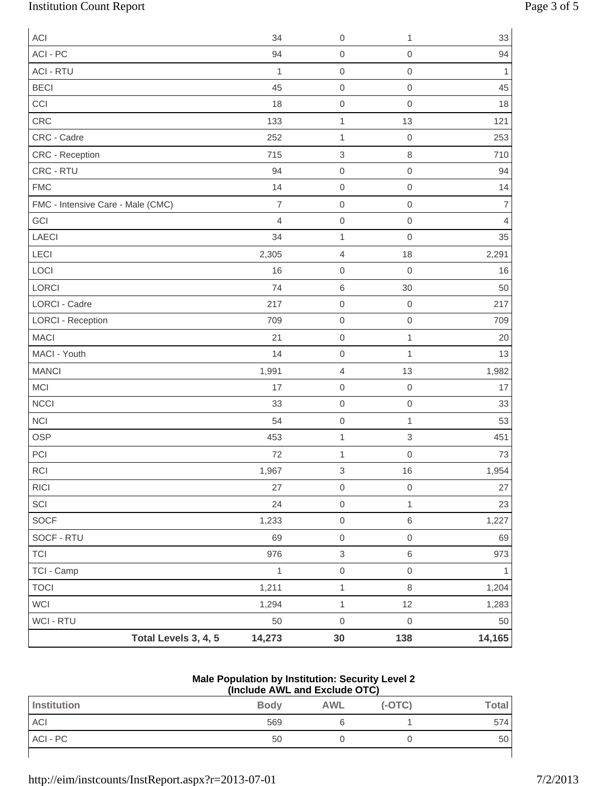# Institution Count Report Page 3 of 5

| <b>ACI</b>                        |                      | 34             | $\mathbf 0$               | 1                   | 33                       |
|-----------------------------------|----------------------|----------------|---------------------------|---------------------|--------------------------|
| ACI - PC                          |                      | 94             | $\mbox{O}$                | $\mathbf 0$         | 94                       |
| <b>ACI - RTU</b>                  |                      | $\mathbf{1}$   | $\mathbf 0$               | $\mbox{O}$          | 1                        |
| <b>BECI</b>                       |                      | 45             | $\boldsymbol{0}$          | $\mathbf 0$         | 45                       |
| CCI                               |                      | 18             | $\boldsymbol{0}$          | $\mathbf 0$         | 18                       |
| CRC                               |                      | 133            | $\mathbf{1}$              | 13                  | 121                      |
| CRC - Cadre                       |                      | 252            | $\mathbf{1}$              | $\mathbf 0$         | 253                      |
| CRC - Reception                   |                      | 715            | $\ensuremath{\mathsf{3}}$ | $\,8\,$             | 710                      |
| CRC - RTU                         |                      | 94             | $\boldsymbol{0}$          | $\mathbf 0$         | 94                       |
| <b>FMC</b>                        |                      | 14             | $\boldsymbol{0}$          | $\mathbf 0$         | 14                       |
| FMC - Intensive Care - Male (CMC) |                      | $\overline{7}$ | $\boldsymbol{0}$          | $\mathbf 0$         | $\overline{\mathcal{I}}$ |
| GCI                               |                      | 4              | $\boldsymbol{0}$          | $\mathbf 0$         | 4                        |
| <b>LAECI</b>                      |                      | 34             | $\mathbf 1$               | $\mbox{O}$          | 35                       |
| LECI                              |                      | 2,305          | $\sqrt{4}$                | 18                  | 2,291                    |
| LOCI                              |                      | 16             | $\boldsymbol{0}$          | $\mathbf 0$         | 16                       |
| LORCI                             |                      | 74             | $\,6\,$                   | 30                  | 50                       |
| <b>LORCI - Cadre</b>              |                      | 217            | $\boldsymbol{0}$          | $\mathbf 0$         | 217                      |
| <b>LORCI - Reception</b>          |                      | 709            | $\mbox{O}$                | $\mbox{O}$          | 709                      |
| <b>MACI</b>                       |                      | 21             | $\mathbf 0$               | $\mathbf{1}$        | 20                       |
| MACI - Youth                      |                      | 14             | $\boldsymbol{0}$          | $\mathbf{1}$        | 13                       |
| <b>MANCI</b>                      |                      | 1,991          | $\overline{4}$            | 13                  | 1,982                    |
| MCI                               |                      | 17             | $\boldsymbol{0}$          | $\mathbf 0$         | 17                       |
| NCCI                              |                      | 33             | $\mbox{O}$                | $\mbox{O}$          | 33                       |
| <b>NCI</b>                        |                      | 54             | $\mbox{O}$                | $\mathbf{1}$        | 53                       |
| <b>OSP</b>                        |                      | 453            | $\mathbf{1}$              | $\,$ 3 $\,$         | 451                      |
| PCI                               |                      | 72             | $\mathbf{1}$              | $\mathbf 0$         | 73                       |
| $\sf RCI$                         |                      | 1,967          | $\ensuremath{\mathsf{3}}$ | $16\,$              | 1,954                    |
| RICI                              |                      | 27             | $\mathsf{O}\xspace$       | $\mathbf 0$         | 27                       |
| SCI                               |                      | 24             | $\mbox{O}$                | $\mathbf{1}$        | 23                       |
| SOCF                              |                      | 1,233          | $\mathsf{O}\xspace$       | $\,6$               | 1,227                    |
| SOCF - RTU                        |                      | 69             | $\mathbf 0$               | $\mathbf 0$         | 69                       |
| <b>TCI</b>                        |                      | 976            | $\ensuremath{\mathsf{3}}$ | $\,6\,$             | 973                      |
| TCI - Camp                        |                      | $\mathbf{1}$   | $\mathsf{O}\xspace$       | $\mathsf{O}\xspace$ | 1                        |
| <b>TOCI</b>                       |                      | 1,211          | $\mathbf{1}$              | 8                   | 1,204                    |
| <b>WCI</b>                        |                      | 1,294          | $\mathbf{1}$              | 12                  | 1,283                    |
| WCI - RTU                         |                      | 50             | $\mathsf{O}\xspace$       | $\,0\,$             | 50                       |
|                                   | Total Levels 3, 4, 5 | 14,273         | 30                        | 138                 | 14,165                   |

### **Male Population by Institution: Security Level 2 (Include AWL and Exclude OTC)**

| $\frac{1}{2}$ |             |            |          |              |
|---------------|-------------|------------|----------|--------------|
| Institution   | <b>Body</b> | <b>AWL</b> | $(-OTC)$ | <b>Total</b> |
| <b>ACI</b>    | 569         |            |          | 574          |
| ACI - PC      | 50          |            |          | 50           |
|               |             |            |          |              |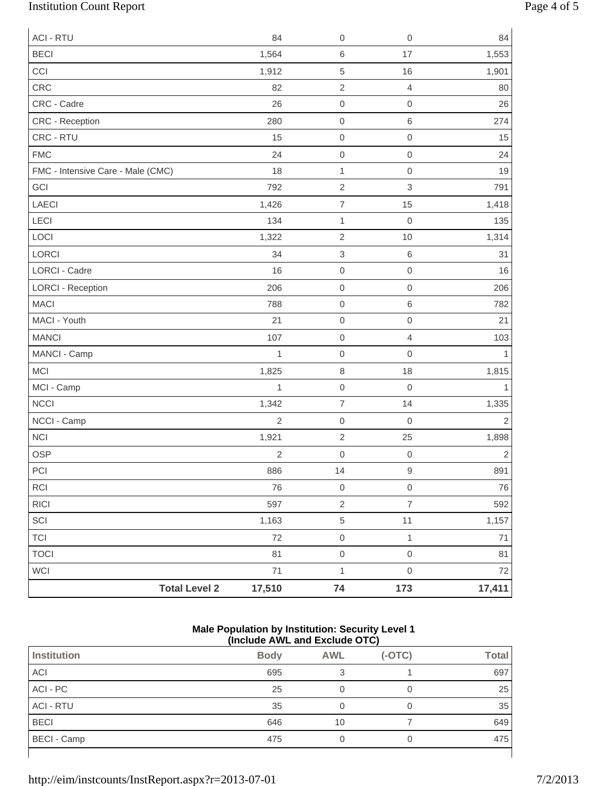# Institution Count Report Page 4 of 5

| <b>ACI - RTU</b>                  | 84             | $\,0\,$                  | $\mathbf 0$      | 84             |
|-----------------------------------|----------------|--------------------------|------------------|----------------|
| <b>BECI</b>                       | 1,564          | $\,6$                    | 17               | 1,553          |
| CCI                               | 1,912          | 5                        | 16               | 1,901          |
| CRC                               | 82             | $\sqrt{2}$               | $\overline{4}$   | 80             |
| CRC - Cadre                       | 26             | $\mathsf{O}\xspace$      | $\boldsymbol{0}$ | 26             |
| CRC - Reception                   | 280            | $\mathsf{O}\xspace$      | $\,6\,$          | 274            |
| CRC - RTU                         | 15             | $\mathbf 0$              | $\mathbf 0$      | 15             |
| <b>FMC</b>                        | 24             | $\mathsf{O}\xspace$      | $\boldsymbol{0}$ | 24             |
| FMC - Intensive Care - Male (CMC) | 18             | $\mathbf{1}$             | $\mathbf 0$      | 19             |
| GCI                               | 792            | $\overline{2}$           | 3                | 791            |
| LAECI                             | 1,426          | $\boldsymbol{7}$         | 15               | 1,418          |
| LECI                              | 134            | $\mathbf{1}$             | $\mathbf 0$      | 135            |
| LOCI                              | 1,322          | $\overline{2}$           | 10               | 1,314          |
| LORCI                             | 34             | $\,$ 3 $\,$              | $\,6\,$          | 31             |
| LORCI - Cadre                     | 16             | $\mathsf{O}\xspace$      | $\boldsymbol{0}$ | 16             |
| <b>LORCI - Reception</b>          | 206            | $\mathsf{O}\xspace$      | $\boldsymbol{0}$ | 206            |
| <b>MACI</b>                       | 788            | $\mathbf 0$              | $\,6\,$          | 782            |
| MACI - Youth                      | 21             | $\mathsf{O}\xspace$      | $\mathbf 0$      | 21             |
| <b>MANCI</b>                      | 107            | $\mathsf 0$              | $\overline{4}$   | 103            |
| MANCI - Camp                      | 1              | $\mathbf 0$              | $\mathbf 0$      | $\mathbf{1}$   |
| <b>MCI</b>                        | 1,825          | $\,8\,$                  | 18               | 1,815          |
| MCI - Camp                        | 1              | $\mathsf{O}\xspace$      | $\mathbf 0$      | 1              |
| NCCI                              | 1,342          | $\overline{\mathcal{I}}$ | 14               | 1,335          |
| NCCI - Camp                       | $\overline{2}$ | $\mathbf 0$              | $\mathbf 0$      | $\sqrt{2}$     |
| <b>NCI</b>                        | 1,921          | $\sqrt{2}$               | 25               | 1,898          |
| <b>OSP</b>                        | $\sqrt{2}$     | $\mbox{O}$               | $\mathbf 0$      | $\overline{2}$ |
| PCI                               | 886            | 14                       | $\hbox{9}$       | 891            |
| <b>RCI</b>                        | 76             | $\,0\,$                  | $\mathbf 0$      | 76             |
| RICI                              | 597            | $\sqrt{2}$               | $\overline{7}$   | 592            |
| SCI                               | 1,163          | $\,$ 5 $\,$              | 11               | 1,157          |
| <b>TCI</b>                        | 72             | $\mathsf{O}\xspace$      | $\mathbf{1}$     | $71$           |
| <b>TOCI</b>                       | 81             | $\mathsf{O}\xspace$      | $\mathbf 0$      | 81             |
| <b>WCI</b>                        | 71             | $\mathbf{1}$             | $\mathbf 0$      | 72             |
| <b>Total Level 2</b>              | 17,510         | 74                       | 173              | 17,411         |

#### **Male Population by Institution: Security Level 1 (Include AWL and Exclude OTC)**

|                    | .           |            |          |              |
|--------------------|-------------|------------|----------|--------------|
| Institution        | <b>Body</b> | <b>AWL</b> | $(-OTC)$ | <b>Total</b> |
| ACI                | 695         | 3          |          | 697          |
| ACI - PC           | 25          |            |          | 25           |
| <b>ACI - RTU</b>   | 35          | 0          |          | 35           |
| <b>BECI</b>        | 646         | 10         |          | 649          |
| <b>BECI - Camp</b> | 475         |            |          | 475          |
|                    |             |            |          |              |